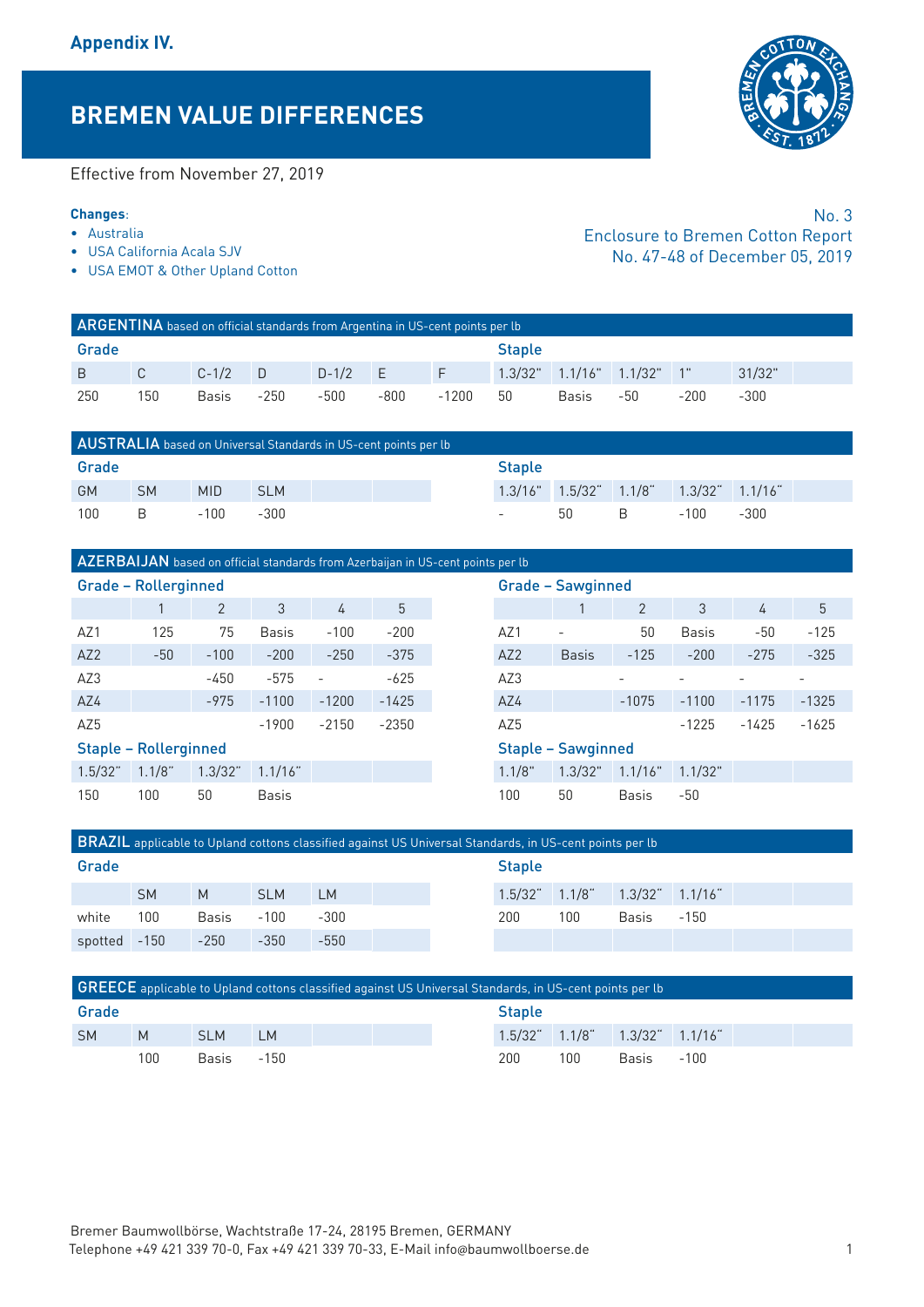# **BREMEN VALUE DIFFERENCES**

Effective from November 27, 2019

#### **Changes**:

- Australia
- USA California Acala SJV
- USA EMOT & Other Upland Cotton

|       | ARGENTINA based on official standards from Argentina in US-cent points per lb |              |      |           |               |                 |    |                                     |     |      |        |  |  |  |
|-------|-------------------------------------------------------------------------------|--------------|------|-----------|---------------|-----------------|----|-------------------------------------|-----|------|--------|--|--|--|
| Grade |                                                                               |              |      |           | <b>Staple</b> |                 |    |                                     |     |      |        |  |  |  |
| B C   |                                                                               | $C-1/2$ D    |      | $D-1/2$ E |               | <b>THE FIRE</b> |    | $1.3/32$ " $1.1/16$ " $1.1/32$ " 1" |     |      | 31/32" |  |  |  |
| 250   | 150                                                                           | <b>Basis</b> | -250 | -500      | -800          | -1200           | 50 | Basis                               | -50 | -200 | $-300$ |  |  |  |

|           |           |            | AUSTRALIA based on Universal Standards in US-cent points per lb |  |  |  |  |      |                                                       |        |  |
|-----------|-----------|------------|-----------------------------------------------------------------|--|--|--|--|------|-------------------------------------------------------|--------|--|
| Grade     |           |            |                                                                 |  |  |  |  |      |                                                       |        |  |
| <b>GM</b> | <b>SM</b> | <b>MID</b> | <b>SLM</b>                                                      |  |  |  |  |      | $1.3/16$ " $1.5/32$ " $1.1/8$ " $1.3/32$ " $1.1/16$ " |        |  |
| 100       | - B       | -100       | -300                                                            |  |  |  |  | 50 B | -100                                                  | $-300$ |  |

# AZERBAIJAN based on official standards from Azerbaijan in US-cent points per lb

|                 | <b>Grade - Rollerginned</b>  |                |              |                          |         |        | <b>Grade - Sawginned</b>  |              |              |         |         |
|-----------------|------------------------------|----------------|--------------|--------------------------|---------|--------|---------------------------|--------------|--------------|---------|---------|
|                 |                              | $\overline{2}$ | 3            | 4                        | 5       |        |                           | 2            | 3            | 4       | 5       |
| AZ1             | 125                          | 75             | <b>Basis</b> | $-100$                   | $-200$  | AZ1    | $\overline{\phantom{a}}$  | 50           | <b>Basis</b> | $-50$   | $-125$  |
| AZ <sub>2</sub> | $-50$                        | $-100$         | $-200$       | $-250$                   | $-375$  | AZ2    | <b>Basis</b>              | $-125$       | $-200$       | $-275$  | $-325$  |
| AZ3             |                              | $-450$         | $-575$       | $\overline{\phantom{a}}$ | $-625$  | AZ3    |                           |              |              |         |         |
| AZ4             |                              | $-975$         | $-1100$      | $-1200$                  | $-1425$ | AZ4    |                           | $-1075$      | $-1100$      | $-1175$ | $-1325$ |
| AZ5             |                              |                | $-1900$      | $-2150$                  | $-2350$ | AZ5    |                           |              | $-1225$      | $-1425$ | $-1625$ |
|                 | <b>Staple - Rollerginned</b> |                |              |                          |         |        | <b>Staple - Sawginned</b> |              |              |         |         |
| 1.5/32"         | $1.1/8$ "                    | 1.3/32"        | 1.1/16"      |                          |         | 1.1/8" | 1.3/32"                   | 1.1/16"      | 1.1/32"      |         |         |
| 150             | 100                          | 50             | <b>Basis</b> |                          |         | 100    | 50                        | <b>Basis</b> | -50          |         |         |

|     | lerginned    |              |                          |         |                 | <b>Grade - Sawginned</b>  |              |              |         |         |
|-----|--------------|--------------|--------------------------|---------|-----------------|---------------------------|--------------|--------------|---------|---------|
|     | 2            | 3            | 4                        | 5       |                 |                           | 2            | 3            | 4       | 5       |
| 25  | 75           | <b>Basis</b> | $-100$                   | $-200$  | AZ1             | $\overline{\phantom{a}}$  | 50           | <b>Basis</b> | $-50$   | $-125$  |
| 50  | $-100$       | $-200$       | $-250$                   | $-375$  | AZ2             | <b>Basis</b>              | $-125$       | $-200$       | $-275$  | $-325$  |
|     | $-450$       | $-575$       | $\overline{\phantom{a}}$ | $-625$  | AZ3             |                           |              |              |         |         |
|     | $-975$       | $-1100$      | $-1200$                  | $-1425$ | AZ4             |                           | $-1075$      | $-1100$      | $-1175$ | $-1325$ |
|     |              | $-1900$      | $-2150$                  | $-2350$ | AZ <sub>5</sub> |                           |              | $-1225$      | $-1425$ | $-1625$ |
|     | llerginned   |              |                          |         |                 | <b>Staple - Sawginned</b> |              |              |         |         |
| /8" | 1.3/32"      | 1.1/16"      |                          |         | 1.1/8"          | 1.3/32"                   | 1.1/16"      | 1.1/32"      |         |         |
|     | $50^{\circ}$ | <b>Basis</b> |                          |         | 100             | 50                        | <b>Basis</b> | $-50$        |         |         |

|         |           |              |            |           | BRAZIL applicable to Upland cottons classified against US Universal Standards, in US-cent points per lb |               |       |                       |        |  |
|---------|-----------|--------------|------------|-----------|---------------------------------------------------------------------------------------------------------|---------------|-------|-----------------------|--------|--|
| Grade   |           |              |            |           |                                                                                                         | <b>Staple</b> |       |                       |        |  |
|         | <b>SM</b> | M            | <b>SLM</b> | <b>LM</b> |                                                                                                         | $1.5/32^{4}$  | 1.1/8 | $1.3/32$ " $1.1/16$ " |        |  |
| white   | 100       | <b>Basis</b> | $-100$     | $-300$    |                                                                                                         | 200           | 100   | <b>Basis</b>          | $-150$ |  |
| spotted | $-150$    | $-250$       | $-350$     | $-550$    |                                                                                                         |               |       |                       |        |  |
|         |           |              |            |           |                                                                                                         |               |       |                       |        |  |
|         |           |              |            |           |                                                                                                         |               |       |                       |        |  |

|           |     |            | <b>GREECE</b> applicable to Upland cottons classified against US Universal Standards, in US-cent points per lb |  |               |     |     |                                    |        |  |  |
|-----------|-----|------------|----------------------------------------------------------------------------------------------------------------|--|---------------|-----|-----|------------------------------------|--------|--|--|
| Grade     |     |            |                                                                                                                |  | <b>Staple</b> |     |     |                                    |        |  |  |
| <b>SM</b> | M   | <b>SLM</b> | $\blacksquare$                                                                                                 |  |               |     |     | $1.5/32$ $1.1/8$ $1.3/32$ $1.1/16$ |        |  |  |
|           | 100 | Basis      | -150                                                                                                           |  |               | 200 | 100 | Basis                              | $-100$ |  |  |



No. 3 Enclosure to Bremen Cotton Report No. 47-48 of December 05, 2019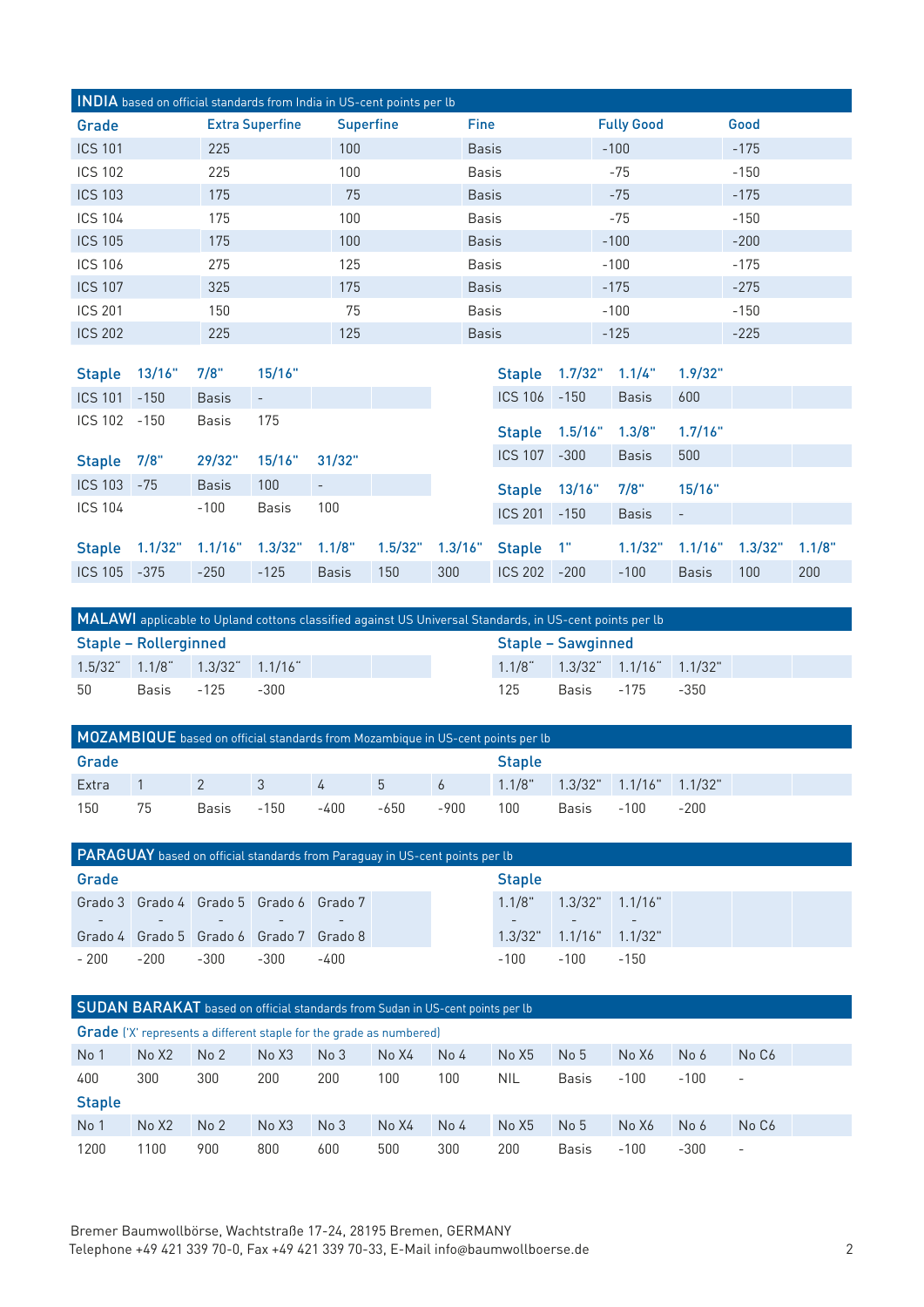|                |        |      |                        | INDIA based on official standards from India in US-cent points per lb |               |                    |         |        |  |
|----------------|--------|------|------------------------|-----------------------------------------------------------------------|---------------|--------------------|---------|--------|--|
| Grade          |        |      | <b>Extra Superfine</b> | <b>Superfine</b>                                                      | <b>Fine</b>   | <b>Fully Good</b>  |         | Good   |  |
| <b>ICS 101</b> |        | 225  |                        | 100                                                                   | <b>Basis</b>  | $-100$             |         | $-175$ |  |
| <b>ICS 102</b> |        | 225  |                        | 100                                                                   | <b>Basis</b>  | -75                |         | $-150$ |  |
| <b>ICS 103</b> |        | 175  |                        | 75                                                                    | <b>Basis</b>  | $-75$              |         | $-175$ |  |
| <b>ICS 104</b> |        | 175  |                        | 100                                                                   | <b>Basis</b>  | -75                |         | $-150$ |  |
| <b>ICS 105</b> |        | 175  |                        | 100                                                                   | <b>Basis</b>  | $-100$             |         | $-200$ |  |
| <b>ICS 106</b> |        | 275  |                        | 125                                                                   | <b>Basis</b>  | $-100$             |         | $-175$ |  |
| <b>ICS 107</b> |        | 325  |                        | 175                                                                   | <b>Basis</b>  | $-175$             |         | $-275$ |  |
| <b>ICS 201</b> |        | 150  |                        | 75                                                                    | <b>Basis</b>  | $-100$             |         | $-150$ |  |
| <b>ICS 202</b> |        | 225  |                        | 125                                                                   | <b>Basis</b>  | $-125$             |         | $-225$ |  |
|                |        |      |                        |                                                                       |               |                    |         |        |  |
| <b>Staple</b>  | 13/16" | 7/8" | 15/16"                 |                                                                       | <b>Staple</b> | $1.7/32"$ $1.1/4"$ | 1.9/32" |        |  |

| ICS 101 -150 | <b>Basis</b>                                                                                   | $\sim$       |              |     |                  | $ICS 106 - 150$ | <b>Basis</b>                  | 600          |     |     |
|--------------|------------------------------------------------------------------------------------------------|--------------|--------------|-----|------------------|-----------------|-------------------------------|--------------|-----|-----|
| ICS 102 -150 | <b>Basis</b>                                                                                   | 175          |              |     |                  |                 | Staple 1.5/16" 1.3/8" 1.7/16" |              |     |     |
| Staple 7/8"  | 29/32" 15/16" 31/32"                                                                           |              |              |     | ICS 107 -300     |                 | Basis                         | 500          |     |     |
| ICS 103 -75  | <b>Basis</b>                                                                                   | 100          |              |     |                  |                 | Staple 13/16" 7/8" 15/16"     |              |     |     |
| ICS 104      | $-100$                                                                                         | <b>Basis</b> | 100          |     | $ICS$ 201 $-150$ |                 | Basis<br>$\sim 100$           |              |     |     |
|              | Staple 1.1/32" 1.1/16" 1.3/32" 1.1/8" 1.5/32" 1.3/16" Staple 1" 1.1/32" 1.1/16" 1.3/32" 1.1/8" |              |              |     |                  |                 |                               |              |     |     |
| ICS 105 -375 | $-250$                                                                                         | $-125$       | <b>Basis</b> | 150 | 300 ICS 202 -200 |                 | $-100$                        | <b>Basis</b> | 100 | 200 |
|              |                                                                                                |              |              |     |                  |                 |                               |              |     |     |

|                                    |            |      | MALAWI applicable to Upland cottons classified against US Universal Standards, in US-cent points per lb |                    |  |                                    |  |  |
|------------------------------------|------------|------|---------------------------------------------------------------------------------------------------------|--------------------|--|------------------------------------|--|--|
| Staple – Rollerginned              |            |      |                                                                                                         | Staple - Sawginned |  |                                    |  |  |
| $1.5/32$ $1.1/8$ $1.3/32$ $1.1/16$ |            |      |                                                                                                         |                    |  | $1.1/8$ $1.3/32$ $1.1/16$ $1.1/32$ |  |  |
| -50                                | Basis -125 | -300 |                                                                                                         | 125                |  | Basis -175 -350                    |  |  |

| MOZAMBIQUE based on official standards from Mozambique in US-cent points per lb |    |              |                         |               |               |       |     |                                            |      |        |  |  |  |
|---------------------------------------------------------------------------------|----|--------------|-------------------------|---------------|---------------|-------|-----|--------------------------------------------|------|--------|--|--|--|
| Grade                                                                           |    |              |                         |               | <b>Staple</b> |       |     |                                            |      |        |  |  |  |
| Extra                                                                           |    | $\sqrt{2}$   | $\overline{\mathbf{3}}$ | $\frac{1}{4}$ | $-5$          | $6 -$ |     | $1.1/8$ " $1.3/32$ " $1.1/16$ " $1.1/32$ " |      |        |  |  |  |
| 150                                                                             | 75 | <b>Basis</b> | $-150$                  | -400          | -650          | -900  | 100 | Basis                                      | -100 | $-200$ |  |  |  |

|        |      |      |                                         | <b>PARAGUAY</b> based on official standards from Paraguay in US-cent points per lb |               |        |                                  |        |  |  |
|--------|------|------|-----------------------------------------|------------------------------------------------------------------------------------|---------------|--------|----------------------------------|--------|--|--|
| Grade  |      |      |                                         |                                                                                    | <b>Staple</b> |        |                                  |        |  |  |
|        |      |      | Grado 3 Grado 4 Grado 5 Grado 6 Grado 7 |                                                                                    |               | 1.1/8" | $1.3/32"$ $1.1/16"$              |        |  |  |
|        |      |      |                                         |                                                                                    |               |        |                                  |        |  |  |
|        |      |      | Grado 4 Grado 5 Grado 6 Grado 7 Grado 8 |                                                                                    |               |        | $1.3/32$ " $1.1/16$ " $1.1/32$ " |        |  |  |
| $-200$ | -200 | -300 | -300                                    | -400                                                                               |               | -100   | $-100$                           | $-150$ |  |  |

SUDAN BARAKAT based on official standards from Sudan in US-cent points per lb

|                 | <b>Grade</b> ('X' represents a different staple for the grade as numbered) |                 |       |                 |       |                 |       |                 |        |        |                          |  |  |  |
|-----------------|----------------------------------------------------------------------------|-----------------|-------|-----------------|-------|-----------------|-------|-----------------|--------|--------|--------------------------|--|--|--|
| No 1            | No X <sub>2</sub>                                                          | No <sub>2</sub> | No X3 | No <sub>3</sub> | No X4 | No <sub>4</sub> | No X5 | No <sub>5</sub> | No X6  | No 6   | No C6                    |  |  |  |
| 400             | 300                                                                        | 300             | 200   | 200             | 100   | 100             | NIL   | <b>Basis</b>    | $-100$ | $-100$ | $\overline{\phantom{a}}$ |  |  |  |
| <b>Staple</b>   |                                                                            |                 |       |                 |       |                 |       |                 |        |        |                          |  |  |  |
| No <sub>1</sub> | No X2                                                                      | No <sub>2</sub> | No X3 | No <sub>3</sub> | No X4 | No <sub>4</sub> | No X5 | No <sub>5</sub> | No X6  | No 6   | No C <sub>6</sub>        |  |  |  |
| 1200            | 100                                                                        | 900             | 800   | 600             | 500   | 300             | 200   | <b>Basis</b>    | $-100$ | $-300$ | $\overline{\phantom{a}}$ |  |  |  |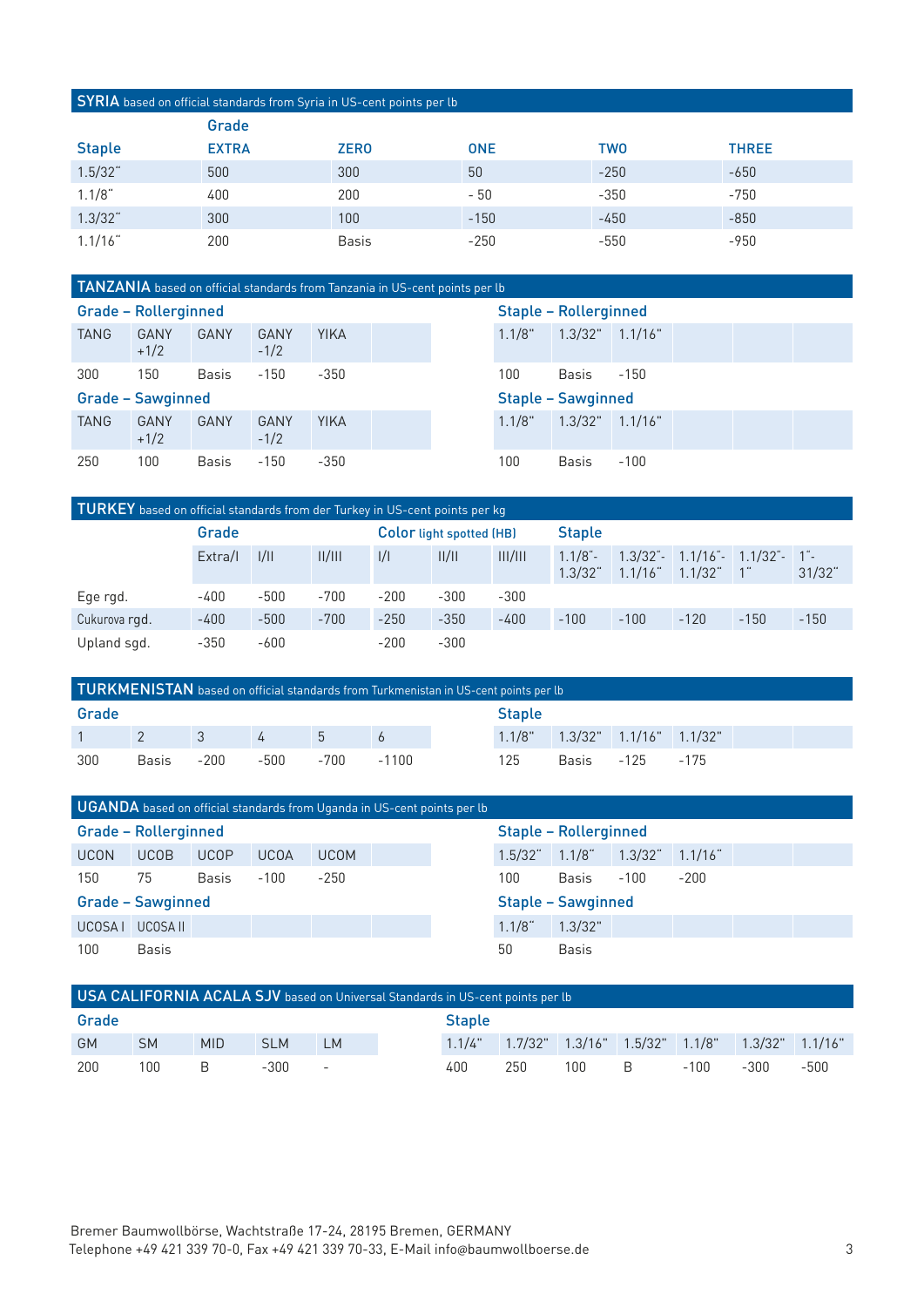#### SYRIA based on official standards from Syria in US-cent points per lb

|               | Grade        |              |            |            |              |
|---------------|--------------|--------------|------------|------------|--------------|
| <b>Staple</b> | <b>EXTRA</b> | <b>ZERO</b>  | <b>ONE</b> | <b>TWO</b> | <b>THREE</b> |
| $1.5/32$ "    | 500          | 300          | 50         | $-250$     | $-650$       |
| $1.1/8$ "     | 400          | 200          | $-50$      | $-350$     | $-750$       |
| 1.3/32"       | 300          | 100          | $-150$     | $-450$     | $-850$       |
| 1.1/16"       | 200          | <b>Basis</b> | $-250$     | $-550$     | $-950$       |

## TANZANIA based on official standards from Tanzania in US-cent points per lb

|                          | <b>Grade - Rollerginned</b> |              |                       |             |  |  | <b>Staple - Rollerginned</b> |                           |         |  |  |  |
|--------------------------|-----------------------------|--------------|-----------------------|-------------|--|--|------------------------------|---------------------------|---------|--|--|--|
| <b>TANG</b>              | GANY<br>$+1/2$              | GANY         | <b>GANY</b><br>$-1/2$ | <b>YIKA</b> |  |  | 1.1/8"                       | 1.3/32"                   | 1.1/16" |  |  |  |
| 300                      | 150                         | <b>Basis</b> | $-150$                | $-350$      |  |  | 100                          | Basis                     | $-150$  |  |  |  |
| <b>Grade - Sawginned</b> |                             |              |                       |             |  |  |                              |                           |         |  |  |  |
|                          |                             |              |                       |             |  |  |                              | <b>Staple - Sawginned</b> |         |  |  |  |
| <b>TANG</b>              | GANY<br>$+1/2$              | GANY         | GANY<br>$-1/2$        | <b>YIKA</b> |  |  | 1.1/8"                       | $1.3/32"$ $1.1/16"$       |         |  |  |  |

| $\mathsf{TURKEY}$ based on official standards from der Turkey in US-cent points per kg , |                           |        |        |        |                                 |         |                       |         |                                                |        |           |
|------------------------------------------------------------------------------------------|---------------------------|--------|--------|--------|---------------------------------|---------|-----------------------|---------|------------------------------------------------|--------|-----------|
|                                                                                          | Grade                     |        |        |        | <b>Color</b> light spotted (HB) |         | <b>Staple</b>         |         |                                                |        |           |
|                                                                                          | II/III<br>1/11<br>Extra/I |        |        | 1/1    | /                               | III/III | $1.1/8$ "-<br>1.3/32" | 1.1/16" | $1.3/32 - 1.1/16 - 1.1/32 - 1$<br>$1.1/32^{4}$ |        | $31/32$ " |
| Ege rgd.                                                                                 | $-400$                    | $-500$ | $-700$ | $-200$ | $-300$                          | $-300$  |                       |         |                                                |        |           |
| Cukurova rgd.                                                                            | $-400$                    | $-500$ | $-700$ | $-250$ | $-350$                          | $-400$  | $-100$                | $-100$  | $-120$                                         | $-150$ | $-150$    |
| Upland sgd.                                                                              | $-350$                    | $-600$ |        | $-200$ | $-300$                          |         |                       |         |                                                |        |           |

| TURKMENISTAN based on official standards from Turkmenistan in US-cent points per lb |  |              |            |      |               |  |                                            |  |  |  |  |
|-------------------------------------------------------------------------------------|--|--------------|------------|------|---------------|--|--------------------------------------------|--|--|--|--|
| Grade                                                                               |  |              |            |      | <b>Staple</b> |  |                                            |  |  |  |  |
| $1 \t 2$                                                                            |  | $\mathbf{3}$ | $\sqrt{4}$ | $-5$ |               |  | $1.1/8$ " $1.3/32$ " $1.1/16$ " $1.1/32$ " |  |  |  |  |
| 300<br>-200<br>-700<br>-500<br>125<br>Basis -125 -175<br>-1100<br><b>Basis</b>      |  |              |            |      |               |  |                                            |  |  |  |  |

|             | UGANDA based on official standards from Uganda in US-cent points per lb |              |             |             |  |  |              |                              |              |            |  |  |
|-------------|-------------------------------------------------------------------------|--------------|-------------|-------------|--|--|--------------|------------------------------|--------------|------------|--|--|
|             | Grade - Rollerginned                                                    |              |             |             |  |  |              | <b>Staple - Rollerginned</b> |              |            |  |  |
| <b>UCON</b> | <b>UCOB</b>                                                             | <b>UCOP</b>  | <b>UCOA</b> | <b>UCOM</b> |  |  | $1.5/32^{4}$ | $1.1/8$ "                    | $1.3/32^{4}$ | $1.1/16$ " |  |  |
| 150         | 75                                                                      | <b>Basis</b> | $-100$      | $-250$      |  |  | 100          | <b>Basis</b>                 | $-100$       | $-200$     |  |  |
|             | <b>Grade - Sawginned</b>                                                |              |             |             |  |  |              | <b>Staple - Sawginned</b>    |              |            |  |  |
| UCOSA I     | UCOSA II                                                                |              |             |             |  |  | $1.1/8$ "    | 1.3/32"                      |              |            |  |  |
| 100         | <b>Basis</b>                                                            |              |             |             |  |  | 50           | <b>Basis</b>                 |              |            |  |  |

#### USA CALIFORNIA ACALA SJV based on Universal Standards in US-cent points per lb

| Grade     |           |            |            |            | <b>Staple</b>                                                              |     |       |      |      |      |
|-----------|-----------|------------|------------|------------|----------------------------------------------------------------------------|-----|-------|------|------|------|
| <b>GM</b> | <b>SM</b> | <b>MID</b> | <b>SLM</b> | LM         | $1.1/4$ " $1.7/32$ " $1.3/16$ " $1.5/32$ " $1.1/8$ " $1.3/32$ " $1.1/16$ " |     |       |      |      |      |
| 200       | 100       | R.         | -300       | $\sim$ $-$ | 400                                                                        | 250 | 100 B | -100 | -300 | -500 |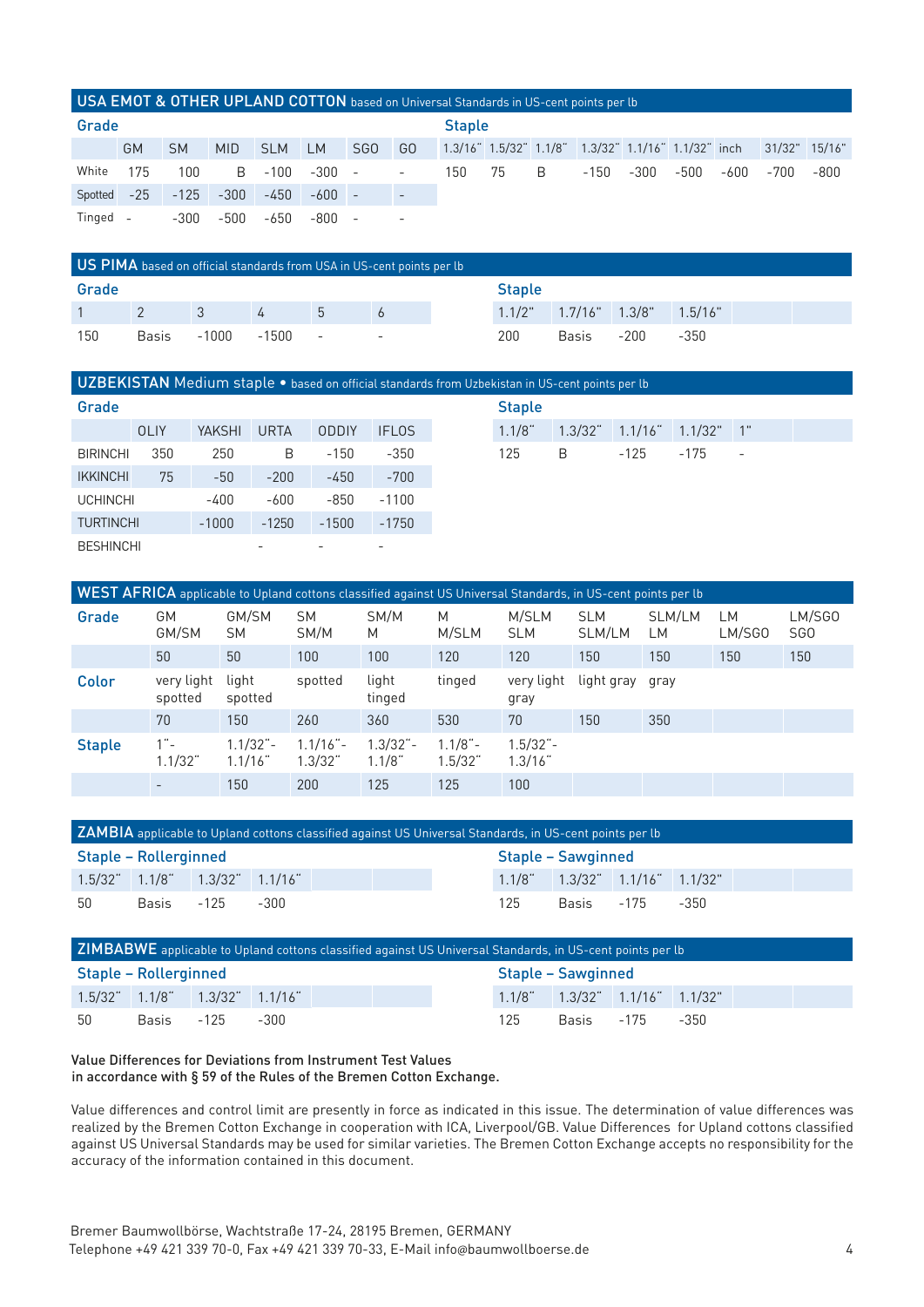#### USA EMOT & OTHER UPLAND COTTON based on Universal Standards in US-cent points per lb

|          | Grade |           |            |            |          |                          |                          | <b>Staple</b> |    |   |                                                     |        |      |      |               |      |
|----------|-------|-----------|------------|------------|----------|--------------------------|--------------------------|---------------|----|---|-----------------------------------------------------|--------|------|------|---------------|------|
|          | GM    | <b>SM</b> | <b>MID</b> | <b>SLM</b> | LM       | SG <sub>0</sub>          | GO                       |               |    |   | 1.3/16" 1.5/32" 1.1/8" 1.3/32" 1.1/16" 1.1/32" inch |        |      |      | 31/32" 15/16" |      |
| White    | 175   | 100       | B.         | -100       | $-300 -$ |                          | $\overline{\phantom{a}}$ | 150           | 75 | B | -150                                                | $-300$ | -500 | -600 | -700          | -800 |
| Spotted  | $-25$ | $-125$    | $-300$     | $-450$     | $-600$   | $\overline{\phantom{a}}$ | $\overline{\phantom{a}}$ |               |    |   |                                                     |        |      |      |               |      |
| Tinged - |       | $-300$    | $-500$     | -650       | -800     | $\overline{\phantom{a}}$ | $\overline{\phantom{a}}$ |               |    |   |                                                     |        |      |      |               |      |

| US PIMA based on official standards from USA in US-cent points per lb                        |  |  |  |  |  |               |  |                                           |  |  |  |
|----------------------------------------------------------------------------------------------|--|--|--|--|--|---------------|--|-------------------------------------------|--|--|--|
| Grade                                                                                        |  |  |  |  |  | <b>Staple</b> |  |                                           |  |  |  |
| $\sim$ 1                                                                                     |  |  |  |  |  |               |  | $1.1/2$ " $1.7/16$ " $1.3/8$ " $1.5/16$ " |  |  |  |
| 150<br>-1000<br>200<br>Basis<br>$-1500 -$<br>Basis<br>$-200$<br>-350<br><b>Service State</b> |  |  |  |  |  |               |  |                                           |  |  |  |

#### UZBEKISTAN Medium staple • based on official standards from Uzbekistar

| Grade            |             |               |             |                          |                 | <b>Staple</b> |              |            |         |                          |
|------------------|-------------|---------------|-------------|--------------------------|-----------------|---------------|--------------|------------|---------|--------------------------|
|                  | <b>OLIY</b> | <b>YAKSHI</b> | <b>URTA</b> | ODDIY                    | <b>IFLOS</b>    | $1.1/8$ "     | $1.3/32^{4}$ | $1.1/16$ " | 1.1/32" | $\overline{1}$           |
| <b>BIRINCHI</b>  | 350         | 250           | B           | $-150$                   | $-350$          | 125           | B            | $-125$     | $-175$  | $\overline{\phantom{a}}$ |
| <b>IKKINCHI</b>  | 75          | $-50$         | $-200$      | $-450$                   | $-700$          |               |              |            |         |                          |
| <b>UCHINCHI</b>  |             | $-400$        | $-600$      | $-850$                   | $-1100$         |               |              |            |         |                          |
| <b>TURTINCHI</b> |             | $-1000$       | $-1250$     | $-1500$                  | $-1750$         |               |              |            |         |                          |
| <b>BESHINCHI</b> |             |               |             | $\overline{\phantom{a}}$ | $\qquad \qquad$ |               |              |            |         |                          |

| <b>Staple</b> | KIStan in OS-CENt points per to        |           |  |  |
|---------------|----------------------------------------|-----------|--|--|
|               | $1.1/8$ $1.3/32$ $1.1/16$ $1.1/32$ $1$ |           |  |  |
| 125           | - B -                                  | -125 -175 |  |  |

| WEST AFRICA applicable to Upland cottons classified against US Universal Standards, in US-cent points per lb |                          |                          |                       |                         |                        |                       |                      |              |              |                           |  |
|--------------------------------------------------------------------------------------------------------------|--------------------------|--------------------------|-----------------------|-------------------------|------------------------|-----------------------|----------------------|--------------|--------------|---------------------------|--|
| Grade                                                                                                        | GМ<br>GM/SM              | GM/SM<br><b>SM</b>       | <b>SM</b><br>SM/M     | SM/M<br>M               | M<br>M/SLM             | M/SLM<br><b>SLM</b>   | <b>SLM</b><br>SLM/LM | SLM/LM<br>LМ | LМ<br>LM/SGO | LM/SGO<br>SG <sub>0</sub> |  |
|                                                                                                              | 50                       | 50                       | 100                   | 100                     | 120                    | 120                   | 150                  | 150          | 150          | 150                       |  |
| Color                                                                                                        | very light<br>spotted    | light<br>spotted         | spotted               | light<br>tinged         | tinged                 | very light<br>gray    | light gray           | gray         |              |                           |  |
|                                                                                                              | 70                       | 150                      | 260                   | 360                     | 530                    | 70                    | 150                  | 350          |              |                           |  |
| <b>Staple</b>                                                                                                | $1 -$<br>$1.1/32$ "      | $1.1/32 -$<br>$1.1/16$ " | $1.1/16 -$<br>1.3/32" | $1.3/32 -$<br>$1.1/8$ " | $1.1/8$ " –<br>1.5/32" | $1.5/32 -$<br>1.3/16" |                      |              |              |                           |  |
|                                                                                                              | $\overline{\phantom{0}}$ | 150                      | 200                   | 125                     | 125                    | 100                   |                      |              |              |                           |  |

| ZAMBIA applicable to Upland cottons classified against US Universal Standards, in US-cent points per lb |                                    |  |  |  |  |  |  |                                    |  |  |  |  |  |
|---------------------------------------------------------------------------------------------------------|------------------------------------|--|--|--|--|--|--|------------------------------------|--|--|--|--|--|
| Staple – Rollerginned                                                                                   |                                    |  |  |  |  |  |  | Staple - Sawginned                 |  |  |  |  |  |
|                                                                                                         | $1.5/32$ $1.1/8$ $1.3/32$ $1.1/16$ |  |  |  |  |  |  | $1.1/8$ $1.3/32$ $1.1/16$ $1.1/32$ |  |  |  |  |  |
| 50<br>125<br>Basis -125<br>Basis -175 -350<br>-300                                                      |                                    |  |  |  |  |  |  |                                    |  |  |  |  |  |

| ZIMBABWE applicable to Upland cottons classified against US Universal Standards, in US-cent points per lb |  |                                            |      |  |                    |     |                                    |                 |  |  |  |
|-----------------------------------------------------------------------------------------------------------|--|--------------------------------------------|------|--|--------------------|-----|------------------------------------|-----------------|--|--|--|
| Staple – Rollerginned                                                                                     |  |                                            |      |  | Staple - Sawginned |     |                                    |                 |  |  |  |
|                                                                                                           |  | $1.5/32$ " $1.1/8$ " $1.3/32$ " $1.1/16$ " |      |  |                    |     | $1.1/8$ $1.3/32$ $1.1/16$ $1.1/32$ |                 |  |  |  |
| 50                                                                                                        |  | Basis -125                                 | -300 |  |                    | 125 |                                    | Basis -175 -350 |  |  |  |

#### Value Differences for Deviations from Instrument Test Values in accordance with § 59 of the Rules of the Bremen Cotton Exchange.

Value differences and control limit are presently in force as indicated in this issue. The determination of value differences was realized by the Bremen Cotton Exchange in cooperation with ICA, Liverpool/GB. Value Differences for Upland cottons classified against US Universal Standards may be used for similar varieties. The Bremen Cotton Exchange accepts no responsibility for the accuracy of the information contained in this document.